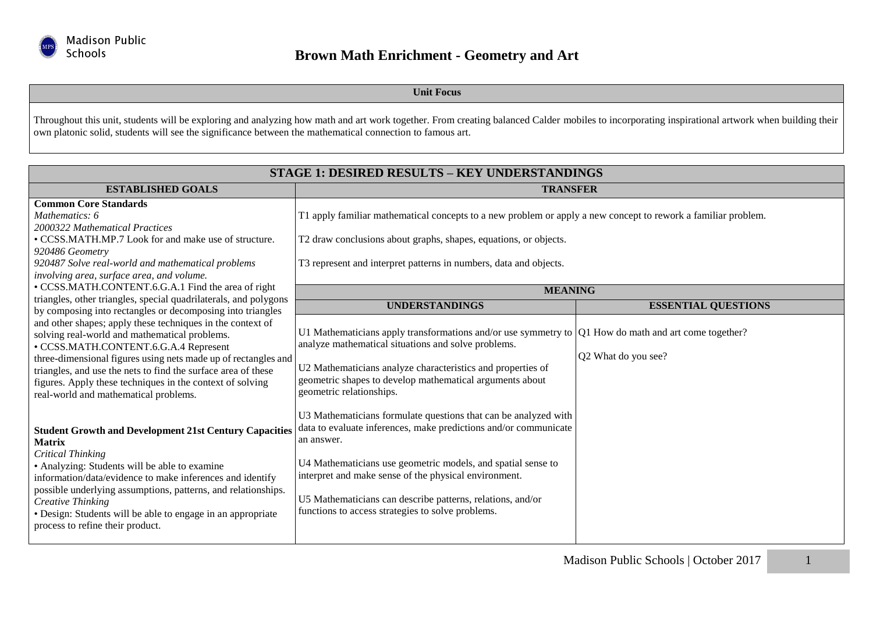

**Unit Focus**

Throughout this unit, students will be exploring and analyzing how math and art work together. From creating balanced Calder mobiles to incorporating inspirational artwork when building their own platonic solid, students will see the significance between the mathematical connection to famous art.

| <b>STAGE 1: DESIRED RESULTS - KEY UNDERSTANDINGS</b>                                                                                                                                                                                                                                                                                                                                                              |                                                                                                                                                                                                                                                                                                                                                                                               |                            |  |
|-------------------------------------------------------------------------------------------------------------------------------------------------------------------------------------------------------------------------------------------------------------------------------------------------------------------------------------------------------------------------------------------------------------------|-----------------------------------------------------------------------------------------------------------------------------------------------------------------------------------------------------------------------------------------------------------------------------------------------------------------------------------------------------------------------------------------------|----------------------------|--|
| <b>ESTABLISHED GOALS</b>                                                                                                                                                                                                                                                                                                                                                                                          | <b>TRANSFER</b>                                                                                                                                                                                                                                                                                                                                                                               |                            |  |
| <b>Common Core Standards</b><br>Mathematics: 6<br>2000322 Mathematical Practices<br>• CCSS.MATH.MP.7 Look for and make use of structure.<br>920486 Geometry<br>920487 Solve real-world and mathematical problems<br>involving area, surface area, and volume.                                                                                                                                                     | T1 apply familiar mathematical concepts to a new problem or apply a new concept to rework a familiar problem.<br>T2 draw conclusions about graphs, shapes, equations, or objects.<br>T3 represent and interpret patterns in numbers, data and objects.                                                                                                                                        |                            |  |
| • CCSS.MATH.CONTENT.6.G.A.1 Find the area of right<br>triangles, other triangles, special quadrilaterals, and polygons                                                                                                                                                                                                                                                                                            | <b>MEANING</b>                                                                                                                                                                                                                                                                                                                                                                                |                            |  |
| by composing into rectangles or decomposing into triangles                                                                                                                                                                                                                                                                                                                                                        | <b>UNDERSTANDINGS</b>                                                                                                                                                                                                                                                                                                                                                                         | <b>ESSENTIAL QUESTIONS</b> |  |
| and other shapes; apply these techniques in the context of<br>solving real-world and mathematical problems.<br>• CCSS.MATH.CONTENT.6.G.A.4 Represent<br>three-dimensional figures using nets made up of rectangles and<br>triangles, and use the nets to find the surface area of these<br>figures. Apply these techniques in the context of solving<br>real-world and mathematical problems.                     | U1 Mathematicians apply transformations and/or use symmetry to $ Q1 $ How do math and art come together?<br>analyze mathematical situations and solve problems.<br>U2 Mathematicians analyze characteristics and properties of<br>geometric shapes to develop mathematical arguments about<br>geometric relationships.                                                                        | Q2 What do you see?        |  |
| <b>Student Growth and Development 21st Century Capacities</b><br><b>Matrix</b><br><b>Critical Thinking</b><br>• Analyzing: Students will be able to examine<br>information/data/evidence to make inferences and identify<br>possible underlying assumptions, patterns, and relationships.<br>Creative Thinking<br>· Design: Students will be able to engage in an appropriate<br>process to refine their product. | U3 Mathematicians formulate questions that can be analyzed with<br>data to evaluate inferences, make predictions and/or communicate<br>an answer.<br>U4 Mathematicians use geometric models, and spatial sense to<br>interpret and make sense of the physical environment.<br>U5 Mathematicians can describe patterns, relations, and/or<br>functions to access strategies to solve problems. |                            |  |